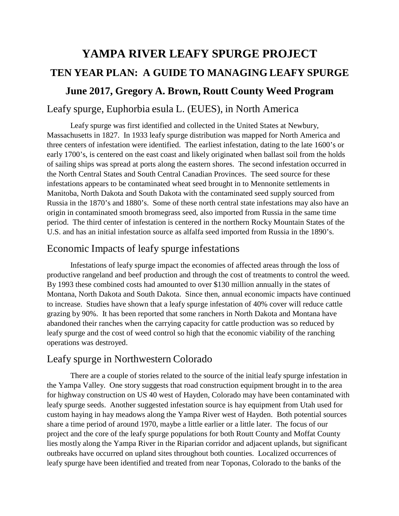# **YAMPA RIVER LEAFY SPURGE PROJECT TEN YEAR PLAN: A GUIDE TO MANAGING LEAFY SPURGE June 2017, Gregory A. Brown, Routt County Weed Program** Leafy spurge, Euphorbia esula L. (EUES), in North America

Leafy spurge was first identified and collected in the United States at Newbury, Massachusetts in 1827. In 1933 leafy spurge distribution was mapped for North America and three centers of infestation were identified. The earliest infestation, dating to the late 1600's or early 1700's, is centered on the east coast and likely originated when ballast soil from the holds of sailing ships was spread at ports along the eastern shores. The second infestation occurred in the North Central States and South Central Canadian Provinces. The seed source for these infestations appears to be contaminated wheat seed brought in to Mennonite settlements in Manitoba, North Dakota and South Dakota with the contaminated seed supply sourced from Russia in the 1870's and 1880's. Some of these north central state infestations may also have an origin in contaminated smooth bromegrass seed, also imported from Russia in the same time period. The third center of infestation is centered in the northern Rocky Mountain States of the U.S. and has an initial infestation source as alfalfa seed imported from Russia in the 1890's.

## Economic Impacts of leafy spurge infestations

Infestations of leafy spurge impact the economies of affected areas through the loss of productive rangeland and beef production and through the cost of treatments to control the weed. By 1993 these combined costs had amounted to over \$130 million annually in the states of Montana, North Dakota and South Dakota. Since then, annual economic impacts have continued to increase. Studies have shown that a leafy spurge infestation of 40% cover will reduce cattle grazing by 90%. It has been reported that some ranchers in North Dakota and Montana have abandoned their ranches when the carrying capacity for cattle production was so reduced by leafy spurge and the cost of weed control so high that the economic viability of the ranching operations was destroyed.

## Leafy spurge in Northwestern Colorado

There are a couple of stories related to the source of the initial leafy spurge infestation in the Yampa Valley. One story suggests that road construction equipment brought in to the area for highway construction on US 40 west of Hayden, Colorado may have been contaminated with leafy spurge seeds. Another suggested infestation source is hay equipment from Utah used for custom haying in hay meadows along the Yampa River west of Hayden. Both potential sources share a time period of around 1970, maybe a little earlier or a little later. The focus of our project and the core of the leafy spurge populations for both Routt County and Moffat County lies mostly along the Yampa River in the Riparian corridor and adjacent uplands, but significant outbreaks have occurred on upland sites throughout both counties. Localized occurrences of leafy spurge have been identified and treated from near Toponas, Colorado to the banks of the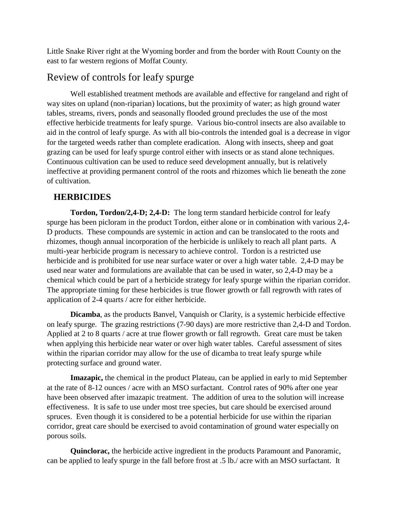Little Snake River right at the Wyoming border and from the border with Routt County on the east to far western regions of Moffat County.

## Review of controls for leafy spurge

Well established treatment methods are available and effective for rangeland and right of way sites on upland (non-riparian) locations, but the proximity of water; as high ground water tables, streams, rivers, ponds and seasonally flooded ground precludes the use of the most effective herbicide treatments for leafy spurge. Various bio-control insects are also available to aid in the control of leafy spurge. As with all bio-controls the intended goal is a decrease in vigor for the targeted weeds rather than complete eradication. Along with insects, sheep and goat grazing can be used for leafy spurge control either with insects or as stand alone techniques. Continuous cultivation can be used to reduce seed development annually, but is relatively ineffective at providing permanent control of the roots and rhizomes which lie beneath the zone of cultivation.

## **HERBICIDES**

**Tordon, Tordon/2,4-D; 2,4-D:** The long term standard herbicide control for leafy spurge has been picloram in the product Tordon, either alone or in combination with various 2,4- D products. These compounds are systemic in action and can be translocated to the roots and rhizomes, though annual incorporation of the herbicide is unlikely to reach all plant parts. A multi-year herbicide program is necessary to achieve control. Tordon is a restricted use herbicide and is prohibited for use near surface water or over a high water table. 2,4-D may be used near water and formulations are available that can be used in water, so 2,4-D may be a chemical which could be part of a herbicide strategy for leafy spurge within the riparian corridor. The appropriate timing for these herbicides is true flower growth or fall regrowth with rates of application of 2-4 quarts / acre for either herbicide.

**Dicamba**, as the products Banvel, Vanquish or Clarity, is a systemic herbicide effective on leafy spurge. The grazing restrictions (7-90 days) are more restrictive than 2,4-D and Tordon. Applied at 2 to 8 quarts / acre at true flower growth or fall regrowth. Great care must be taken when applying this herbicide near water or over high water tables. Careful assessment of sites within the riparian corridor may allow for the use of dicamba to treat leafy spurge while protecting surface and ground water.

**Imazapic,** the chemical in the product Plateau, can be applied in early to mid September at the rate of 8-12 ounces / acre with an MSO surfactant. Control rates of 90% after one year have been observed after imazapic treatment. The addition of urea to the solution will increase effectiveness. It is safe to use under most tree species, but care should be exercised around spruces. Even though it is considered to be a potential herbicide for use within the riparian corridor, great care should be exercised to avoid contamination of ground water especially on porous soils.

**Quinclorac,** the herbicide active ingredient in the products Paramount and Panoramic, can be applied to leafy spurge in the fall before frost at .5 lb./ acre with an MSO surfactant. It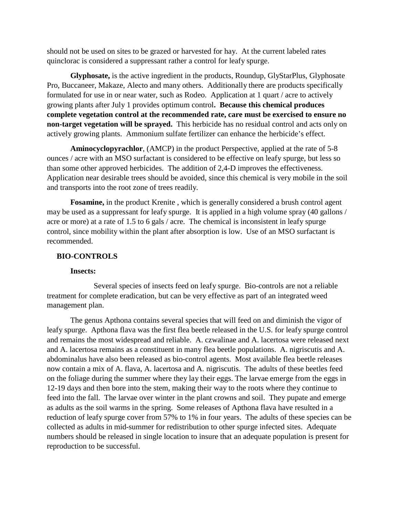should not be used on sites to be grazed or harvested for hay. At the current labeled rates quinclorac is considered a suppressant rather a control for leafy spurge.

**Glyphosate,** is the active ingredient in the products, Roundup, GlyStarPlus, Glyphosate Pro, Buccaneer, Makaze, Alecto and many others. Additionally there are products specifically formulated for use in or near water, such as Rodeo. Application at 1 quart / acre to actively growing plants after July 1 provides optimum control**. Because this chemical produces complete vegetation control at the recommended rate, care must be exercised to ensure no non-target vegetation will be sprayed.** This herbicide has no residual control and acts only on actively growing plants. Ammonium sulfate fertilizer can enhance the herbicide's effect.

**Aminocyclopyrachlor**, (AMCP) in the product Perspective, applied at the rate of 5-8 ounces / acre with an MSO surfactant is considered to be effective on leafy spurge, but less so than some other approved herbicides. The addition of 2,4-D improves the effectiveness. Application near desirable trees should be avoided, since this chemical is very mobile in the soil and transports into the root zone of trees readily.

Fosamine, in the product Krenite, which is generally considered a brush control agent may be used as a suppressant for leafy spurge. It is applied in a high volume spray (40 gallons / acre or more) at a rate of 1.5 to 6 gals / acre. The chemical is inconsistent in leafy spurge control, since mobility within the plant after absorption is low. Use of an MSO surfactant is recommended.

#### **BIO-CONTROLS**

#### **Insects:**

Several species of insects feed on leafy spurge. Bio-controls are not a reliable treatment for complete eradication, but can be very effective as part of an integrated weed management plan.

The genus Apthona contains several species that will feed on and diminish the vigor of leafy spurge. Apthona flava was the first flea beetle released in the U.S. for leafy spurge control and remains the most widespread and reliable. A. czwalinae and A. lacertosa were released next and A. lacertosa remains as a constituent in many flea beetle populations. A. nigriscutis and A. abdominalus have also been released as bio-control agents. Most available flea beetle releases now contain a mix of A. flava, A. lacertosa and A. nigriscutis. The adults of these beetles feed on the foliage during the summer where they lay their eggs. The larvae emerge from the eggs in 12-19 days and then bore into the stem, making their way to the roots where they continue to feed into the fall. The larvae over winter in the plant crowns and soil. They pupate and emerge as adults as the soil warms in the spring. Some releases of Apthona flava have resulted in a reduction of leafy spurge cover from 57% to 1% in four years. The adults of these species can be collected as adults in mid-summer for redistribution to other spurge infected sites. Adequate numbers should be released in single location to insure that an adequate population is present for reproduction to be successful.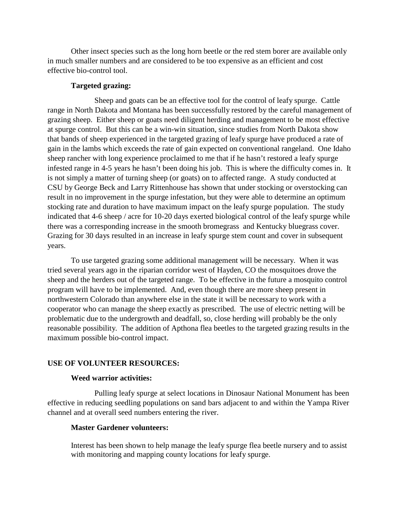Other insect species such as the long horn beetle or the red stem borer are available only in much smaller numbers and are considered to be too expensive as an efficient and cost effective bio-control tool.

#### **Targeted grazing:**

Sheep and goats can be an effective tool for the control of leafy spurge. Cattle range in North Dakota and Montana has been successfully restored by the careful management of grazing sheep. Either sheep or goats need diligent herding and management to be most effective at spurge control. But this can be a win-win situation, since studies from North Dakota show that bands of sheep experienced in the targeted grazing of leafy spurge have produced a rate of gain in the lambs which exceeds the rate of gain expected on conventional rangeland. One Idaho sheep rancher with long experience proclaimed to me that if he hasn't restored a leafy spurge infested range in 4-5 years he hasn't been doing his job. This is where the difficulty comes in. It is not simply a matter of turning sheep (or goats) on to affected range. A study conducted at CSU by George Beck and Larry Rittenhouse has shown that under stocking or overstocking can result in no improvement in the spurge infestation, but they were able to determine an optimum stocking rate and duration to have maximum impact on the leafy spurge population. The study indicated that 4-6 sheep / acre for 10-20 days exerted biological control of the leafy spurge while there was a corresponding increase in the smooth bromegrass and Kentucky bluegrass cover. Grazing for 30 days resulted in an increase in leafy spurge stem count and cover in subsequent years.

To use targeted grazing some additional management will be necessary. When it was tried several years ago in the riparian corridor west of Hayden, CO the mosquitoes drove the sheep and the herders out of the targeted range. To be effective in the future a mosquito control program will have to be implemented. And, even though there are more sheep present in northwestern Colorado than anywhere else in the state it will be necessary to work with a cooperator who can manage the sheep exactly as prescribed. The use of electric netting will be problematic due to the undergrowth and deadfall, so, close herding will probably be the only reasonable possibility. The addition of Apthona flea beetles to the targeted grazing results in the maximum possible bio-control impact.

#### **USE OF VOLUNTEER RESOURCES:**

#### **Weed warrior activities:**

Pulling leafy spurge at select locations in Dinosaur National Monument has been effective in reducing seedling populations on sand bars adjacent to and within the Yampa River channel and at overall seed numbers entering the river.

#### **Master Gardener volunteers:**

Interest has been shown to help manage the leafy spurge flea beetle nursery and to assist with monitoring and mapping county locations for leafy spurge.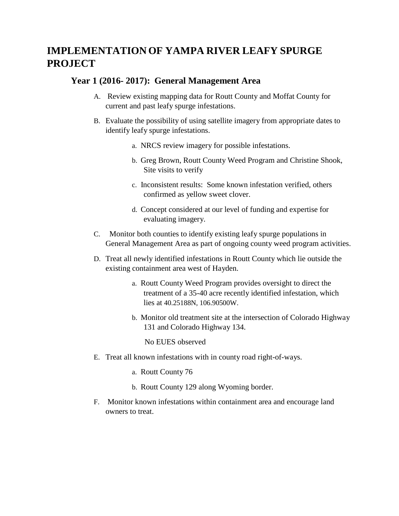## **IMPLEMENTATION OF YAMPA RIVER LEAFY SPURGE PROJECT**

## **Year 1 (2016- 2017): General Management Area**

- A. Review existing mapping data for Routt County and Moffat County for current and past leafy spurge infestations.
- B. Evaluate the possibility of using satellite imagery from appropriate dates to identify leafy spurge infestations.
	- a. NRCS review imagery for possible infestations.
	- b. Greg Brown, Routt County Weed Program and Christine Shook, Site visits to verify
	- c. Inconsistent results: Some known infestation verified, others confirmed as yellow sweet clover.
	- d. Concept considered at our level of funding and expertise for evaluating imagery.
- C. Monitor both counties to identify existing leafy spurge populations in General Management Area as part of ongoing county weed program activities.
- D. Treat all newly identified infestations in Routt County which lie outside the existing containment area west of Hayden.
	- a. Routt County Weed Program provides oversight to direct the treatment of a 35-40 acre recently identified infestation, which lies at 40.25188N, 106.90500W.
	- b. Monitor old treatment site at the intersection of Colorado Highway 131 and Colorado Highway 134.

No EUES observed

- E. Treat all known infestations with in county road right-of-ways.
	- a. Routt County 76
	- b. Routt County 129 along Wyoming border.
- F. Monitor known infestations within containment area and encourage land owners to treat.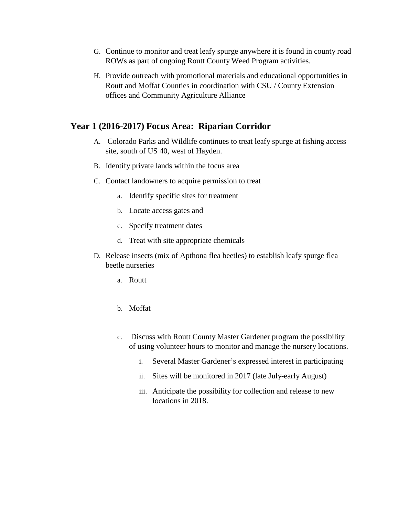- G. Continue to monitor and treat leafy spurge anywhere it is found in county road ROWs as part of ongoing Routt County Weed Program activities.
- H. Provide outreach with promotional materials and educational opportunities in Routt and Moffat Counties in coordination with CSU / County Extension offices and Community Agriculture Alliance

## **Year 1 (2016-2017) Focus Area: Riparian Corridor**

- A. Colorado Parks and Wildlife continues to treat leafy spurge at fishing access site, south of US 40, west of Hayden.
- B. Identify private lands within the focus area
- C. Contact landowners to acquire permission to treat
	- a. Identify specific sites for treatment
	- b. Locate access gates and
	- c. Specify treatment dates
	- d. Treat with site appropriate chemicals
- D. Release insects (mix of Apthona flea beetles) to establish leafy spurge flea beetle nurseries
	- a. Routt
	- b. Moffat
	- c. Discuss with Routt County Master Gardener program the possibility of using volunteer hours to monitor and manage the nursery locations.
		- i. Several Master Gardener's expressed interest in participating
		- ii. Sites will be monitored in 2017 (late July-early August)
		- iii. Anticipate the possibility for collection and release to new locations in 2018.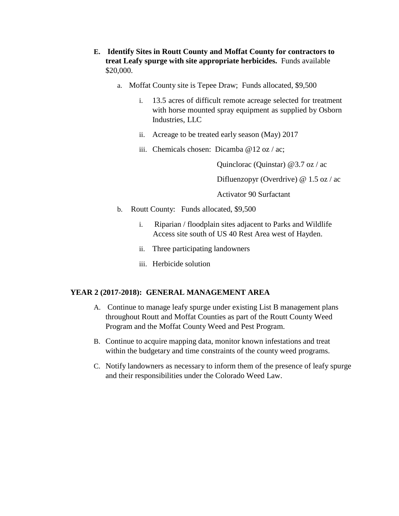- **E. Identify Sites in Routt County and Moffat County for contractors to treat Leafy spurge with site appropriate herbicides.** Funds available \$20,000.
	- a. Moffat County site is Tepee Draw; Funds allocated, \$9,500
		- i. 13.5 acres of difficult remote acreage selected for treatment with horse mounted spray equipment as supplied by Osborn Industries, LLC
		- ii. Acreage to be treated early season (May) 2017
		- iii. Chemicals chosen: Dicamba @12 oz / ac;

Quinclorac (Quinstar) @3.7 oz / ac

Difluenzopyr (Overdrive) @ 1.5 oz / ac

Activator 90 Surfactant

- b. Routt County: Funds allocated, \$9,500
	- i. Riparian / floodplain sites adjacent to Parks and Wildlife Access site south of US 40 Rest Area west of Hayden.
	- ii. Three participating landowners
	- iii. Herbicide solution

#### **YEAR 2 (2017-2018): GENERAL MANAGEMENT AREA**

- A. Continue to manage leafy spurge under existing List B management plans throughout Routt and Moffat Counties as part of the Routt County Weed Program and the Moffat County Weed and Pest Program.
- B. Continue to acquire mapping data, monitor known infestations and treat within the budgetary and time constraints of the county weed programs.
- C. Notify landowners as necessary to inform them of the presence of leafy spurge and their responsibilities under the Colorado Weed Law.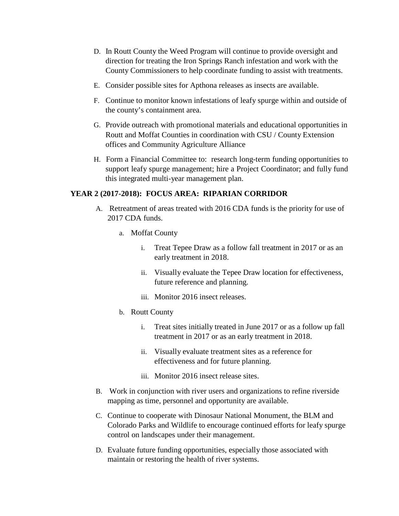- D. In Routt County the Weed Program will continue to provide oversight and direction for treating the Iron Springs Ranch infestation and work with the County Commissioners to help coordinate funding to assist with treatments.
- E. Consider possible sites for Apthona releases as insects are available.
- F. Continue to monitor known infestations of leafy spurge within and outside of the county's containment area.
- G. Provide outreach with promotional materials and educational opportunities in Routt and Moffat Counties in coordination with CSU / County Extension offices and Community Agriculture Alliance
- H. Form a Financial Committee to: research long-term funding opportunities to support leafy spurge management; hire a Project Coordinator; and fully fund this integrated multi-year management plan.

#### **YEAR 2 (2017-2018): FOCUS AREA: RIPARIAN CORRIDOR**

- A. Retreatment of areas treated with 2016 CDA funds is the priority for use of 2017 CDA funds.
	- a. Moffat County
		- i. Treat Tepee Draw as a follow fall treatment in 2017 or as an early treatment in 2018.
		- ii. Visually evaluate the Tepee Draw location for effectiveness, future reference and planning.
		- iii. Monitor 2016 insect releases.
	- b. Routt County
		- i. Treat sites initially treated in June 2017 or as a follow up fall treatment in 2017 or as an early treatment in 2018.
		- ii. Visually evaluate treatment sites as a reference for effectiveness and for future planning.
		- iii. Monitor 2016 insect release sites.
- B. Work in conjunction with river users and organizations to refine riverside mapping as time, personnel and opportunity are available.
- C. Continue to cooperate with Dinosaur National Monument, the BLM and Colorado Parks and Wildlife to encourage continued efforts for leafy spurge control on landscapes under their management.
- D. Evaluate future funding opportunities, especially those associated with maintain or restoring the health of river systems.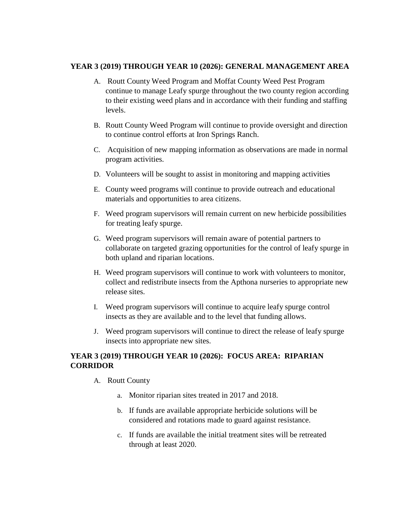#### **YEAR 3 (2019) THROUGH YEAR 10 (2026): GENERAL MANAGEMENT AREA**

- A. Routt County Weed Program and Moffat County Weed Pest Program continue to manage Leafy spurge throughout the two county region according to their existing weed plans and in accordance with their funding and staffing levels.
- B. Routt County Weed Program will continue to provide oversight and direction to continue control efforts at Iron Springs Ranch.
- C. Acquisition of new mapping information as observations are made in normal program activities.
- D. Volunteers will be sought to assist in monitoring and mapping activities
- E. County weed programs will continue to provide outreach and educational materials and opportunities to area citizens.
- F. Weed program supervisors will remain current on new herbicide possibilities for treating leafy spurge.
- G. Weed program supervisors will remain aware of potential partners to collaborate on targeted grazing opportunities for the control of leafy spurge in both upland and riparian locations.
- H. Weed program supervisors will continue to work with volunteers to monitor, collect and redistribute insects from the Apthona nurseries to appropriate new release sites.
- I. Weed program supervisors will continue to acquire leafy spurge control insects as they are available and to the level that funding allows.
- J. Weed program supervisors will continue to direct the release of leafy spurge insects into appropriate new sites.

## **YEAR 3 (2019) THROUGH YEAR 10 (2026): FOCUS AREA: RIPARIAN CORRIDOR**

- A. Routt County
	- a. Monitor riparian sites treated in 2017 and 2018.
	- b. If funds are available appropriate herbicide solutions will be considered and rotations made to guard against resistance.
	- c. If funds are available the initial treatment sites will be retreated through at least 2020.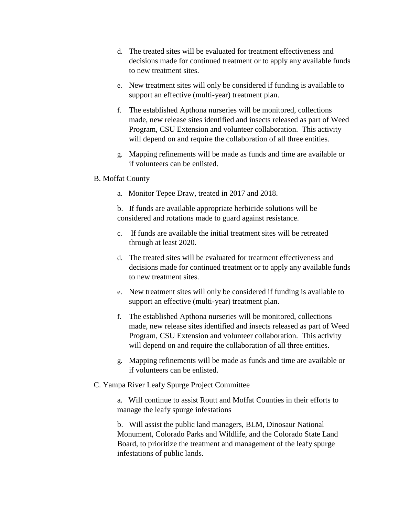- d. The treated sites will be evaluated for treatment effectiveness and decisions made for continued treatment or to apply any available funds to new treatment sites.
- e. New treatment sites will only be considered if funding is available to support an effective (multi-year) treatment plan.
- f. The established Apthona nurseries will be monitored, collections made, new release sites identified and insects released as part of Weed Program, CSU Extension and volunteer collaboration. This activity will depend on and require the collaboration of all three entities.
- g. Mapping refinements will be made as funds and time are available or if volunteers can be enlisted.

#### B. Moffat County

a. Monitor Tepee Draw, treated in 2017 and 2018.

b. If funds are available appropriate herbicide solutions will be considered and rotations made to guard against resistance.

- c. If funds are available the initial treatment sites will be retreated through at least 2020.
- d. The treated sites will be evaluated for treatment effectiveness and decisions made for continued treatment or to apply any available funds to new treatment sites.
- e. New treatment sites will only be considered if funding is available to support an effective (multi-year) treatment plan.
- f. The established Apthona nurseries will be monitored, collections made, new release sites identified and insects released as part of Weed Program, CSU Extension and volunteer collaboration. This activity will depend on and require the collaboration of all three entities.
- g. Mapping refinements will be made as funds and time are available or if volunteers can be enlisted.
- C. Yampa River Leafy Spurge Project Committee

a. Will continue to assist Routt and Moffat Counties in their efforts to manage the leafy spurge infestations

b. Will assist the public land managers, BLM, Dinosaur National Monument, Colorado Parks and Wildlife, and the Colorado State Land Board, to prioritize the treatment and management of the leafy spurge infestations of public lands.